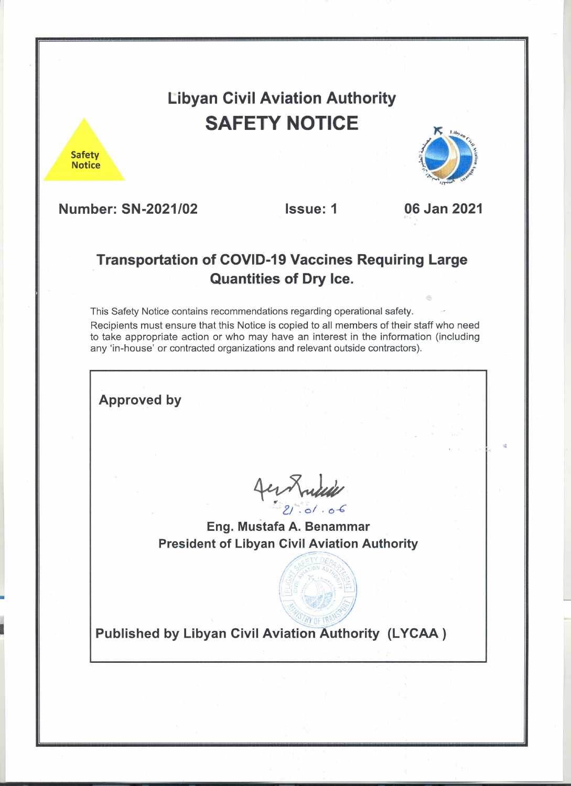**Libyan Civil Aviation Authority SAFETY NOTICE** 

**Safety Notice** 



**Number: SN-2021/02** 

**Issue: 1** 

06 Jan 2021

# **Transportation of COVID-19 Vaccines Requiring Large Quantities of Dry Ice.**

This Safety Notice contains recommendations regarding operational safety. Recipients must ensure that this Notice is copied to all members of their staff who need to take appropriate action or who may have an interest in the information (including any 'in-house' or contracted organizations and relevant outside contractors).

**Approved by** 

fermini

Eng. Mustafa A. Benammar **President of Libyan Civil Aviation Authority** 

**Published by Libyan Civil Aviation Authority (LYCAA)**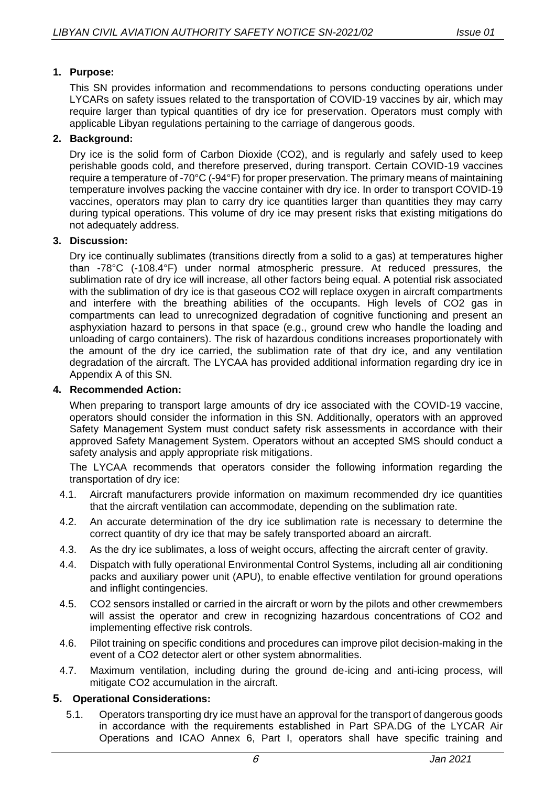# **1. Purpose:**

This SN provides information and recommendations to persons conducting operations under LYCARs on safety issues related to the transportation of COVID-19 vaccines by air, which may require larger than typical quantities of dry ice for preservation. Operators must comply with applicable Libyan regulations pertaining to the carriage of dangerous goods.

## **2. Background:**

Dry ice is the solid form of Carbon Dioxide (CO2), and is regularly and safely used to keep perishable goods cold, and therefore preserved, during transport. Certain COVID-19 vaccines require a temperature of -70°C (-94°F) for proper preservation. The primary means of maintaining temperature involves packing the vaccine container with dry ice. In order to transport COVID-19 vaccines, operators may plan to carry dry ice quantities larger than quantities they may carry during typical operations. This volume of dry ice may present risks that existing mitigations do not adequately address.

## **3. Discussion:**

Dry ice continually sublimates (transitions directly from a solid to a gas) at temperatures higher than -78°C (-108.4°F) under normal atmospheric pressure. At reduced pressures, the sublimation rate of dry ice will increase, all other factors being equal. A potential risk associated with the sublimation of dry ice is that gaseous CO2 will replace oxygen in aircraft compartments and interfere with the breathing abilities of the occupants. High levels of CO2 gas in compartments can lead to unrecognized degradation of cognitive functioning and present an asphyxiation hazard to persons in that space (e.g., ground crew who handle the loading and unloading of cargo containers). The risk of hazardous conditions increases proportionately with the amount of the dry ice carried, the sublimation rate of that dry ice, and any ventilation degradation of the aircraft. The LYCAA has provided additional information regarding dry ice in Appendix A of this SN.

### **4. Recommended Action:**

When preparing to transport large amounts of dry ice associated with the COVID-19 vaccine, operators should consider the information in this SN. Additionally, operators with an approved Safety Management System must conduct safety risk assessments in accordance with their approved Safety Management System. Operators without an accepted SMS should conduct a safety analysis and apply appropriate risk mitigations.

The LYCAA recommends that operators consider the following information regarding the transportation of dry ice:

- 4.1. Aircraft manufacturers provide information on maximum recommended dry ice quantities that the aircraft ventilation can accommodate, depending on the sublimation rate.
- 4.2. An accurate determination of the dry ice sublimation rate is necessary to determine the correct quantity of dry ice that may be safely transported aboard an aircraft.
- 4.3. As the dry ice sublimates, a loss of weight occurs, affecting the aircraft center of gravity.
- 4.4. Dispatch with fully operational Environmental Control Systems, including all air conditioning packs and auxiliary power unit (APU), to enable effective ventilation for ground operations and inflight contingencies.
- 4.5. CO2 sensors installed or carried in the aircraft or worn by the pilots and other crewmembers will assist the operator and crew in recognizing hazardous concentrations of CO2 and implementing effective risk controls.
- 4.6. Pilot training on specific conditions and procedures can improve pilot decision-making in the event of a CO2 detector alert or other system abnormalities.
- 4.7. Maximum ventilation, including during the ground de-icing and anti-icing process, will mitigate CO2 accumulation in the aircraft.

#### **5. Operational Considerations:**

5.1. Operators transporting dry ice must have an approval for the transport of dangerous goods in accordance with the requirements established in Part SPA.DG of the LYCAR Air Operations and ICAO Annex 6, Part I, operators shall have specific training and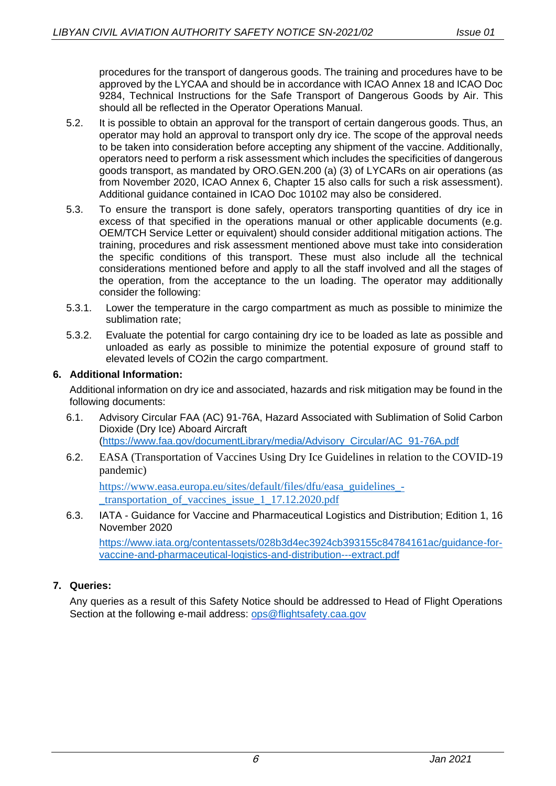procedures for the transport of dangerous goods. The training and procedures have to be approved by the LYCAA and should be in accordance with ICAO Annex 18 and ICAO Doc 9284, Technical Instructions for the Safe Transport of Dangerous Goods by Air. This should all be reflected in the Operator Operations Manual.

- 5.2. It is possible to obtain an approval for the transport of certain dangerous goods. Thus, an operator may hold an approval to transport only dry ice. The scope of the approval needs to be taken into consideration before accepting any shipment of the vaccine. Additionally, operators need to perform a risk assessment which includes the specificities of dangerous goods transport, as mandated by ORO.GEN.200 (a) (3) of LYCARs on air operations (as from November 2020, ICAO Annex 6, Chapter 15 also calls for such a risk assessment). Additional guidance contained in ICAO Doc 10102 may also be considered.
- 5.3. To ensure the transport is done safely, operators transporting quantities of dry ice in excess of that specified in the operations manual or other applicable documents (e.g. OEM/TCH Service Letter or equivalent) should consider additional mitigation actions. The training, procedures and risk assessment mentioned above must take into consideration the specific conditions of this transport. These must also include all the technical considerations mentioned before and apply to all the staff involved and all the stages of the operation, from the acceptance to the un loading. The operator may additionally consider the following:
- 5.3.1. Lower the temperature in the cargo compartment as much as possible to minimize the sublimation rate;
- 5.3.2. Evaluate the potential for cargo containing dry ice to be loaded as late as possible and unloaded as early as possible to minimize the potential exposure of ground staff to elevated levels of CO2in the cargo compartment.

## **6. Additional Information:**

Additional information on dry ice and associated, hazards and risk mitigation may be found in the following documents:

- 6.1. Advisory Circular FAA (AC) 91-76A, Hazard Associated with Sublimation of Solid Carbon Dioxide (Dry Ice) Aboard Aircraft [\(https://www.faa.gov/documentLibrary/media/Advisory\\_Circular/AC\\_91-76A.pdf](about:blank)
- 6.2. EASA (Transportation of Vaccines Using Dry Ice Guidelines in relation to the COVID-19 pandemic)

[https://www.easa.europa.eu/sites/default/files/dfu/easa\\_guidelines\\_-](about:blank) [\\_transportation\\_of\\_vaccines\\_issue\\_1\\_17.12.2020.pdf](about:blank)

6.3. IATA - Guidance for Vaccine and Pharmaceutical Logistics and Distribution; Edition 1, 16 November 2020

[https://www.iata.org/contentassets/028b3d4ec3924cb393155c84784161ac/guidance-for](about:blank)[vaccine-and-pharmaceutical-logistics-and-distribution---extract.pdf](about:blank)

# **7. Queries:**

Any queries as a result of this Safety Notice should be addressed to Head of Flight Operations Section at the following e-mail address: [ops@flightsafety.caa.gov](about:blank)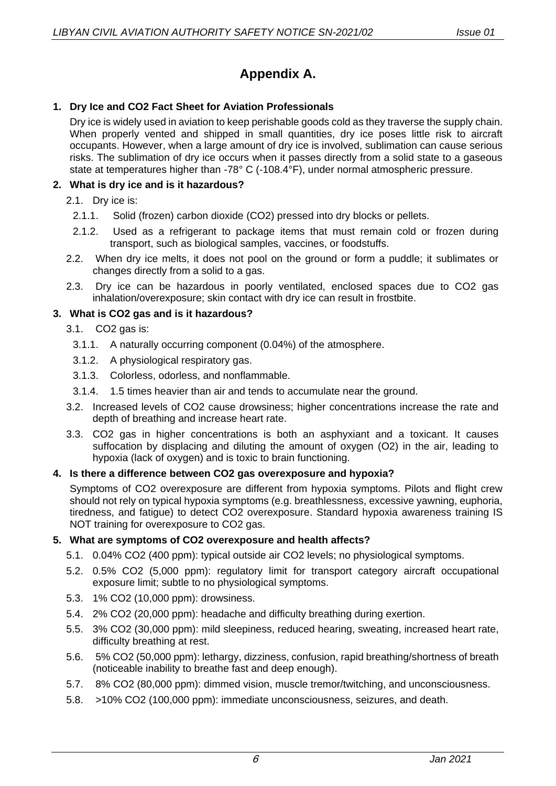# **Appendix A.**

# **1. Dry Ice and CO2 Fact Sheet for Aviation Professionals**

Dry ice is widely used in aviation to keep perishable goods cold as they traverse the supply chain. When properly vented and shipped in small quantities, dry ice poses little risk to aircraft occupants. However, when a large amount of dry ice is involved, sublimation can cause serious risks. The sublimation of dry ice occurs when it passes directly from a solid state to a gaseous state at temperatures higher than -78° C (-108.4°F), under normal atmospheric pressure.

### **2. What is dry ice and is it hazardous?**

- 2.1. Dry ice is:
	- 2.1.1. Solid (frozen) carbon dioxide (CO2) pressed into dry blocks or pellets.
	- 2.1.2. Used as a refrigerant to package items that must remain cold or frozen during transport, such as biological samples, vaccines, or foodstuffs.
- 2.2. When dry ice melts, it does not pool on the ground or form a puddle; it sublimates or changes directly from a solid to a gas.
- 2.3. Dry ice can be hazardous in poorly ventilated, enclosed spaces due to CO2 gas inhalation/overexposure; skin contact with dry ice can result in frostbite.

## **3. What is CO2 gas and is it hazardous?**

- 3.1. CO2 gas is:
	- 3.1.1. A naturally occurring component (0.04%) of the atmosphere.
	- 3.1.2. A physiological respiratory gas.
	- 3.1.3. Colorless, odorless, and nonflammable.
- 3.1.4. 1.5 times heavier than air and tends to accumulate near the ground.
- 3.2. Increased levels of CO2 cause drowsiness; higher concentrations increase the rate and depth of breathing and increase heart rate.
- 3.3. CO2 gas in higher concentrations is both an asphyxiant and a toxicant. It causes suffocation by displacing and diluting the amount of oxygen (O2) in the air, leading to hypoxia (lack of oxygen) and is toxic to brain functioning.

# **4. Is there a difference between CO2 gas overexposure and hypoxia?**

Symptoms of CO2 overexposure are different from hypoxia symptoms. Pilots and flight crew should not rely on typical hypoxia symptoms (e.g. breathlessness, excessive yawning, euphoria, tiredness, and fatigue) to detect CO2 overexposure. Standard hypoxia awareness training IS NOT training for overexposure to CO2 gas.

#### **5. What are symptoms of CO2 overexposure and health affects?**

- 5.1. 0.04% CO2 (400 ppm): typical outside air CO2 levels; no physiological symptoms.
- 5.2. 0.5% CO2 (5,000 ppm): regulatory limit for transport category aircraft occupational exposure limit; subtle to no physiological symptoms.
- 5.3. 1% CO2 (10,000 ppm): drowsiness.
- 5.4. 2% CO2 (20,000 ppm): headache and difficulty breathing during exertion.
- 5.5. 3% CO2 (30,000 ppm): mild sleepiness, reduced hearing, sweating, increased heart rate, difficulty breathing at rest.
- 5.6. 5% CO2 (50,000 ppm): lethargy, dizziness, confusion, rapid breathing/shortness of breath (noticeable inability to breathe fast and deep enough).
- 5.7. 8% CO2 (80,000 ppm): dimmed vision, muscle tremor/twitching, and unconsciousness.
- 5.8. >10% CO2 (100,000 ppm): immediate unconsciousness, seizures, and death.